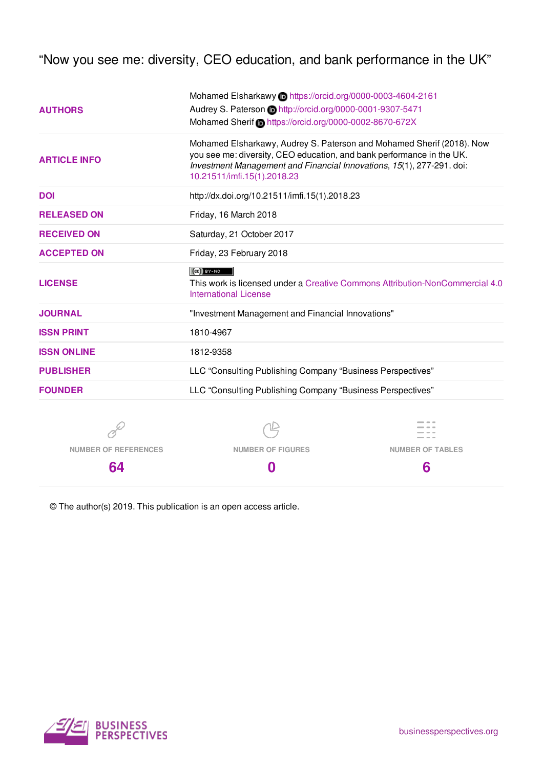"Now you see me: diversity, CEO education, and bank performance in the UK"

| <b>AUTHORS</b>      | Mohamed Elsharkawy in https://orcid.org/0000-0003-4604-2161<br>Audrey S. Paterson in http://orcid.org/0000-0001-9307-5471<br>Mohamed Sherif Chttps://orcid.org/0000-0002-8670-672X                                                                     |  |  |  |
|---------------------|--------------------------------------------------------------------------------------------------------------------------------------------------------------------------------------------------------------------------------------------------------|--|--|--|
| <b>ARTICLE INFO</b> | Mohamed Elsharkawy, Audrey S. Paterson and Mohamed Sherif (2018). Now<br>you see me: diversity, CEO education, and bank performance in the UK.<br>Investment Management and Financial Innovations, 15(1), 277-291. doi:<br>10.21511/imfi.15(1).2018.23 |  |  |  |
| <b>DOI</b>          | http://dx.doi.org/10.21511/imfi.15(1).2018.23                                                                                                                                                                                                          |  |  |  |
| <b>RELEASED ON</b>  | Friday, 16 March 2018                                                                                                                                                                                                                                  |  |  |  |
| <b>RECEIVED ON</b>  | Saturday, 21 October 2017                                                                                                                                                                                                                              |  |  |  |
| <b>ACCEPTED ON</b>  | Friday, 23 February 2018                                                                                                                                                                                                                               |  |  |  |
| <b>LICENSE</b>      | $(CC)$ BY-NC<br>This work is licensed under a Creative Commons Attribution-NonCommercial 4.0<br><b>International License</b>                                                                                                                           |  |  |  |
| <b>JOURNAL</b>      | "Investment Management and Financial Innovations"                                                                                                                                                                                                      |  |  |  |
| <b>ISSN PRINT</b>   | 1810-4967                                                                                                                                                                                                                                              |  |  |  |
| <b>ISSN ONLINE</b>  | 1812-9358                                                                                                                                                                                                                                              |  |  |  |
| <b>PUBLISHER</b>    | LLC "Consulting Publishing Company "Business Perspectives"                                                                                                                                                                                             |  |  |  |
| <b>FOUNDER</b>      | LLC "Consulting Publishing Company "Business Perspectives"                                                                                                                                                                                             |  |  |  |
|                     |                                                                                                                                                                                                                                                        |  |  |  |

**NUMBER OF REFERENCES 64**

**NUMBER OF FIGURES 0**



© The author(s) 2019. This publication is an open access article.

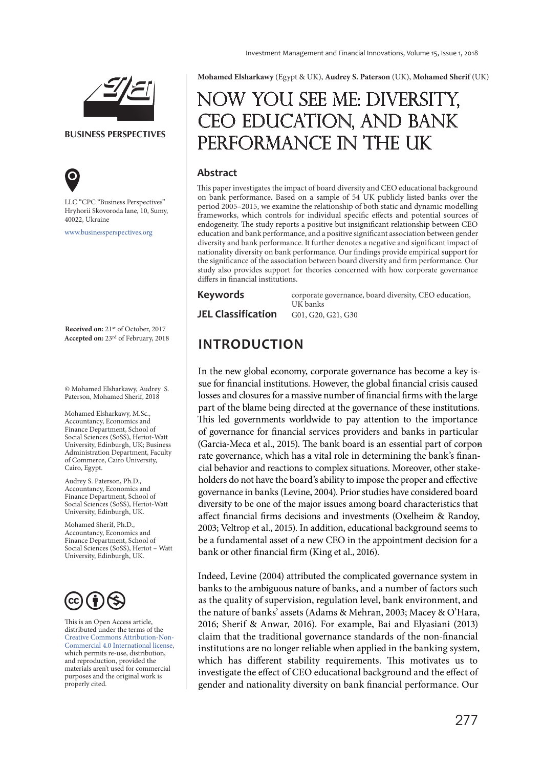

**BUSINESS PERSPECTIVES**



LLC "СPС "Business Perspectives" Hryhorii Skovoroda lane, 10, Sumy, 40022, Ukraine

www.businessperspectives.org

**Received on:** 21<sup>st</sup> of October, 2017<br>**Accepted on:** 23<sup>rd</sup> of February, 2018

© Mohamed Elsharkawy, Audrey S. Paterson, Mohamed Sherif, 2018

Mohamed Elsharkawy, M.Sc., Accountancy, Economics and Finance Department, School of Social Sciences (SoSS), Heriot-Watt University, Edinburgh, UK; Business Administration Department, Faculty of Commerce, Cairo University, Cairo, Egypt.

Audrey S. Paterson, Ph.D., Accountancy, Economics and Finance Department, School of Social Sciences (SoSS), Heriot-Watt University, Edinburgh, UK.

Mohamed Sherif, Ph.D., Accountancy, Economics and Finance Department, School of Social Sciences (SoSS), Heriot – Watt University, Edinburgh, UK.



This is an Open Access article, distributed under the terms of the Creative Commons Attribution-Non-Commercial 4.0 International license, which permits re-use, distribution, and reproduction, provided the materials aren't used for commercial purposes and the original work is properly cited.

**Mohamed Elsharkawy** (Egypt & UK), **Audrey S. Paterson** (UK), **Mohamed Sherif** (UK)

# Now you see me: diversity, CEO EDUCATION, AND BANK performance in the UK

# **Abstract**

This paper investigates the impact of board diversity and CEO educational background on bank performance. Based on a sample of 54 UK publicly listed banks over the period 2005–2015, we examine the relationship of both static and dynamic modelling frameworks, which controls for individual specific effects and potential sources of endogeneity. The study reports a positive but insignificant relationship between CEO education and bank performance, and a positive significant association between gender diversity and bank performance. It further denotes a negative and significant impact of nationality diversity on bank performance. Our findings provide empirical support for the significance of the association between board diversity and firm performance. Our study also provides support for theories concerned with how corporate governance differs in financial institutions.

#### **Keywords**

corporate governance, board diversity, CEO education, UK banks **JEL Classification** G01, G20, G21, G30

# **Accepted on:** 23rd of February, 2018 **INTRODUCTION**

In the new global economy, corporate governance has become a key issue for financial institutions. However, the global financial crisis caused losses and closures for a massive number of financial firms with the large part of the blame being directed at the governance of these institutions. This led governments worldwide to pay attention to the importance of governance for financial services providers and banks in particular (Garcia-Meca et al., 2015). The bank board is an essential part of corponrate governance, which has a vital role in determining the bank's financial behavior and reactions to complex situations. Moreover, other stakeholders do not have the board's ability to impose the proper and effective governance in banks (Levine, 2004). Prior studies have considered board diversity to be one of the major issues among board characteristics that affect financial firms decisions and investments (Oxelheim & Randoy, 2003; Veltrop et al., 2015). In addition, educational background seems to be a fundamental asset of a new CEO in the appointment decision for a bank or other financial firm (King et al., 2016).

Indeed, Levine (2004) attributed the complicated governance system in banks to the ambiguous nature of banks, and a number of factors such as the quality of supervision, regulation level, bank environment, and the nature of banks' assets (Adams & Mehran, 2003; Macey & O'Hara, 2016; Sherif & Anwar, 2016). For example, Bai and Elyasiani (2013) claim that the traditional governance standards of the non-financial institutions are no longer reliable when applied in the banking system, which has different stability requirements. This motivates us to investigate the effect of CEO educational background and the effect of gender and nationality diversity on bank financial performance. Our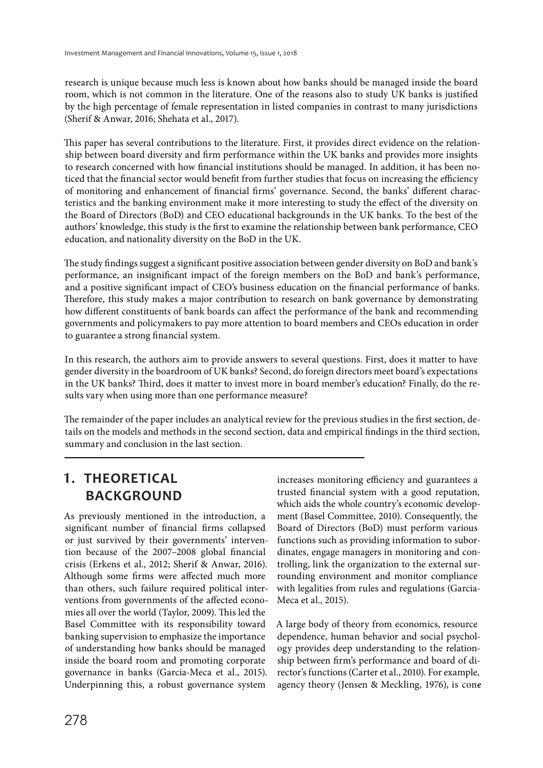research is unique because much less is known about how banks should be managed inside the board room, which is not common in the literature. One of the reasons also to study UK banks is justified by the high percentage of female representation in listed companies in contrast to many jurisdictions (Sherif & Anwar, 2016; Shehata et al., 2017).

This paper has several contributions to the literature. First, it provides direct evidence on the relationship between board diversity and firm performance within the UK banks and provides more insights to research concerned with how financial institutions should be managed. In addition, it has been noticed that the financial sector would benefit from further studies that focus on increasing the efficiency of monitoring and enhancement of financial firms' governance. Second, the banks' different characteristics and the banking environment make it more interesting to study the effect of the diversity on the Board of Directors (BoD) and CEO educational backgrounds in the UK banks. To the best of the authors' knowledge, this study is the first to examine the relationship between bank performance, CEO education, and nationality diversity on the BoD in the UK.

The study findings suggest a significant positive association between gender diversity on BoD and bank's performance, an insignificant impact of the foreign members on the BoD and bank's performance, and a positive significant impact of CEO's business education on the financial performance of banks. Therefore, this study makes a major contribution to research on bank governance by demonstrating how different constituents of bank boards can affect the performance of the bank and recommending governments and policymakers to pay more attention to board members and CEOs education in order to guarantee a strong financial system.

In this research, the authors aim to provide answers to several questions. First, does it matter to have gender diversity in the boardroom of UK banks? Second, do foreign directors meet board's expectations in the UK banks? Third, does it matter to invest more in board member's education? Finally, do the results vary when using more than one performance measure?

The remainder of the paper includes an analytical review for the previous studies in the first section, details on the models and methods in the second section, data and empirical findings in the third section, summary and conclusion in the last section.

# **1. THEORETICAL BACKGROUND**

As previously mentioned in the introduction, a significant number of financial firms collapsed or just survived by their governments' intervention because of the 2007–2008 global financial crisis (Erkens et al., 2012; Sherif & Anwar, 2016). Although some firms were affected much more than others, such failure required political interventions from governments of the affected economies all over the world (Taylor, 2009). This led the Basel Committee with its responsibility toward banking supervision to emphasize the importance of understanding how banks should be managed inside the board room and promoting corporate governance in banks (Garcia-Meca et al., 2015). Underpinning this, a robust governance system

increases monitoring efficiency and guarantees a trusted financial system with a good reputation, which aids the whole country's economic development (Basel Committee, 2010). Consequently, the Board of Directors (BoD) must perform various functions such as providing information to subordinates, engage managers in monitoring and controlling, link the organization to the external surrounding environment and monitor compliance with legalities from rules and regulations (Garcia-Meca et al., 2015).

A large body of theory from economics, resource dependence, human behavior and social psychology provides deep understanding to the relationship between firm's performance and board of director's functions (Carter et al., 2010). For example, agency theory (Jensen & Meckling, 1976), is cone-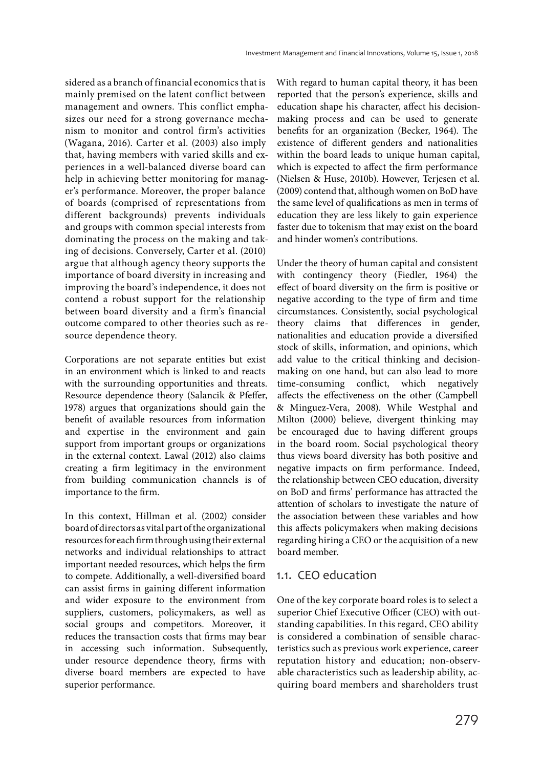sidered as a branch of financial economics that is mainly premised on the latent conflict between management and owners. This conflict emphasizes our need for a strong governance mechanism to monitor and control firm's activities (Wagana, 2016). Carter et al. (2003) also imply that, having members with varied skills and experiences in a well-balanced diverse board can help in achieving better monitoring for manager's performance. Moreover, the proper balance of boards (comprised of representations from different backgrounds) prevents individuals and groups with common special interests from dominating the process on the making and taking of decisions. Conversely, Carter et al. (2010) argue that although agency theory supports the importance of board diversity in increasing and improving the board's independence, it does not contend a robust support for the relationship between board diversity and a firm's financial outcome compared to other theories such as resource dependence theory.

Corporations are not separate entities but exist in an environment which is linked to and reacts with the surrounding opportunities and threats. Resource dependence theory (Salancik & Pfeffer, 1978) argues that organizations should gain the benefit of available resources from information and expertise in the environment and gain support from important groups or organizations in the external context. Lawal (2012) also claims creating a firm legitimacy in the environment from building communication channels is of importance to the firm.

In this context, Hillman et al. (2002) consider board of directors as vital part of the organizational resources for each firm through using their external networks and individual relationships to attract important needed resources, which helps the firm to compete. Additionally, a well-diversified board can assist firms in gaining different information and wider exposure to the environment from suppliers, customers, policymakers, as well as social groups and competitors. Moreover, it reduces the transaction costs that firms may bear in accessing such information. Subsequently, under resource dependence theory, firms with diverse board members are expected to have superior performance.

With regard to human capital theory, it has been reported that the person's experience, skills and education shape his character, affect his decisionmaking process and can be used to generate benefits for an organization (Becker, 1964). The existence of different genders and nationalities within the board leads to unique human capital, which is expected to affect the firm performance (Nielsen & Huse, 2010b). However, Terjesen et al. (2009) contend that, although women on BoD have the same level of qualifications as men in terms of education they are less likely to gain experience faster due to tokenism that may exist on the board and hinder women's contributions.

Under the theory of human capital and consistent with contingency theory (Fiedler, 1964) the effect of board diversity on the firm is positive or negative according to the type of firm and time circumstances. Consistently, social psychological theory claims that differences in gender, nationalities and education provide a diversified stock of skills, information, and opinions, which add value to the critical thinking and decisionmaking on one hand, but can also lead to more time-consuming conflict, which negatively affects the effectiveness on the other (Campbell & Minguez-Vera, 2008). While Westphal and Milton (2000) believe, divergent thinking may be encouraged due to having different groups in the board room. Social psychological theory thus views board diversity has both positive and negative impacts on firm performance. Indeed, the relationship between CEO education, diversity on BoD and firms' performance has attracted the attention of scholars to investigate the nature of the association between these variables and how this affects policymakers when making decisions regarding hiring a CEO or the acquisition of a new board member.

# 1.1. CEO education

One of the key corporate board roles is to select a superior Chief Executive Officer (CEO) with outstanding capabilities. In this regard, CEO ability is considered a combination of sensible characteristics such as previous work experience, career reputation history and education; non-observable characteristics such as leadership ability, acquiring board members and shareholders trust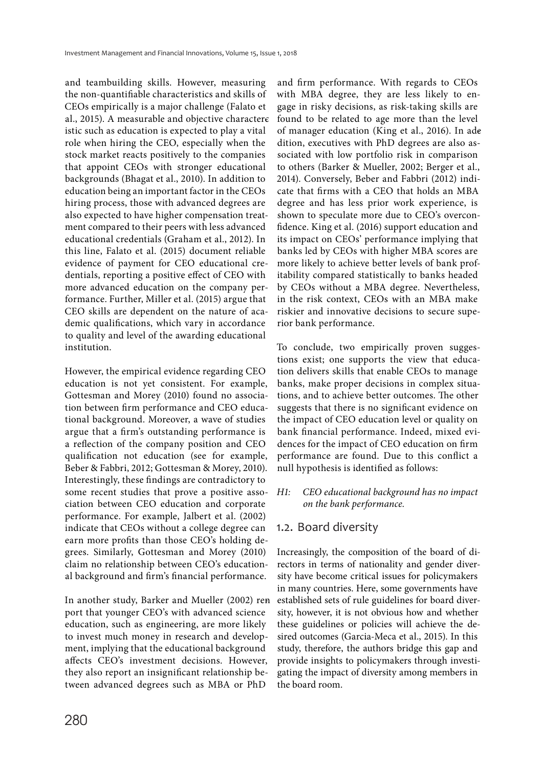and teambuilding skills. However, measuring the non-quantifiable characteristics and skills of CEOs empirically is a major challenge (Falato et al., 2015). A measurable and objective charactere istic such as education is expected to play a vital role when hiring the CEO, especially when the stock market reacts positively to the companies that appoint CEOs with stronger educational backgrounds (Bhagat et al., 2010). In addition to education being an important factor in the CEOs hiring process, those with advanced degrees are also expected to have higher compensation treatment compared to their peers with less advanced educational credentials (Graham et al., 2012). In this line, Falato et al. (2015) document reliable evidence of payment for CEO educational credentials, reporting a positive effect of CEO with more advanced education on the company performance. Further, Miller et al. (2015) argue that CEO skills are dependent on the nature of academic qualifications, which vary in accordance to quality and level of the awarding educational institution.

However, the empirical evidence regarding CEO education is not yet consistent. For example, Gottesman and Morey (2010) found no association between firm performance and CEO educational background. Moreover, a wave of studies argue that a firm's outstanding performance is a reflection of the company position and CEO qualification not education (see for example, Beber & Fabbri, 2012; Gottesman & Morey, 2010). Interestingly, these findings are contradictory to some recent studies that prove a positive association between CEO education and corporate performance. For example, Jalbert et al. (2002) indicate that CEOs without a college degree can earn more profits than those CEO's holding degrees. Similarly, Gottesman and Morey (2010) claim no relationship between CEO's educational background and firm's financial performance.

In another study, Barker and Mueller (2002) renport that younger CEO's with advanced science education, such as engineering, are more likely to invest much money in research and development, implying that the educational background affects CEO's investment decisions. However, they also report an insignificant relationship between advanced degrees such as MBA or PhD

and firm performance. With regards to CEOs with MBA degree, they are less likely to engage in risky decisions, as risk-taking skills are found to be related to age more than the level of manager education (King et al., 2016). In adedition, executives with PhD degrees are also associated with low portfolio risk in comparison to others (Barker & Mueller, 2002; Berger et al., 2014). Conversely, Beber and Fabbri (2012) indicate that firms with a CEO that holds an MBA degree and has less prior work experience, is shown to speculate more due to CEO's overconfidence. King et al. (2016) support education and its impact on CEOs' performance implying that banks led by CEOs with higher MBA scores are more likely to achieve better levels of bank profitability compared statistically to banks headed by CEOs without a MBA degree. Nevertheless, in the risk context, CEOs with an MBA make riskier and innovative decisions to secure superior bank performance.

To conclude, two empirically proven suggestions exist; one supports the view that education delivers skills that enable CEOs to manage banks, make proper decisions in complex situations, and to achieve better outcomes. The other suggests that there is no significant evidence on the impact of CEO education level or quality on bank financial performance. Indeed, mixed evidences for the impact of CEO education on firm performance are found. Due to this conflict a null hypothesis is identified as follows:

# H1: CEO educational background has no impact on the bank performance.

# 1.2. Board diversity

Increasingly, the composition of the board of directors in terms of nationality and gender diversity have become critical issues for policymakers in many countries. Here, some governments have established sets of rule guidelines for board diversity, however, it is not obvious how and whether these guidelines or policies will achieve the desired outcomes (Garcia-Meca et al., 2015). In this study, therefore, the authors bridge this gap and provide insights to policymakers through investigating the impact of diversity among members in the board room.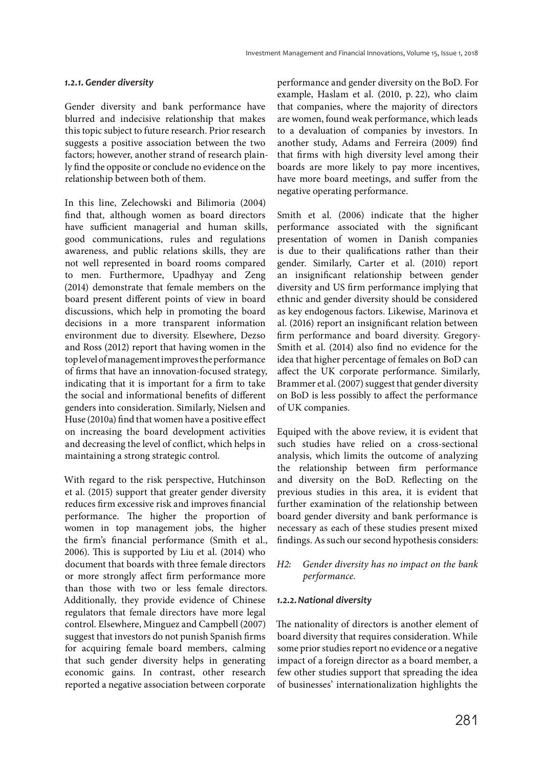### *1.2.1. Gender diversity*

Gender diversity and bank performance have blurred and indecisive relationship that makes this topic subject to future research. Prior research suggests a positive association between the two factors; however, another strand of research plainly find the opposite or conclude no evidence on the relationship between both of them.

In this line, Zelechowski and Bilimoria (2004) find that, although women as board directors have sufficient managerial and human skills, good communications, rules and regulations awareness, and public relations skills, they are not well represented in board rooms compared to men. Furthermore, Upadhyay and Zeng (2014) demonstrate that female members on the board present different points of view in board discussions, which help in promoting the board decisions in a more transparent information environment due to diversity. Elsewhere, Dezso and Ross (2012) report that having women in the top level of management improves the performance of firms that have an innovation-focused strategy, indicating that it is important for a firm to take the social and informational benefits of different genders into consideration. Similarly, Nielsen and Huse (2010a) find that women have a positive effect on increasing the board development activities and decreasing the level of conflict, which helps in maintaining a strong strategic control.

With regard to the risk perspective, Hutchinson et al. (2015) support that greater gender diversity reduces firm excessive risk and improves financial performance. The higher the proportion of women in top management jobs, the higher the firm's financial performance (Smith et al., 2006). This is supported by Liu et al. (2014) who document that boards with three female directors or more strongly affect firm performance more than those with two or less female directors. Additionally, they provide evidence of Chinese regulators that female directors have more legal control. Elsewhere, Minguez and Campbell (2007) suggest that investors do not punish Spanish firms for acquiring female board members, calming that such gender diversity helps in generating economic gains. In contrast, other research reported a negative association between corporate

performance and gender diversity on the BoD. For example, Haslam et al. (2010, p. 22), who claim that companies, where the majority of directors are women, found weak performance, which leads to a devaluation of companies by investors. In another study, Adams and Ferreira (2009) find that firms with high diversity level among their boards are more likely to pay more incentives, have more board meetings, and suffer from the negative operating performance.

Smith et al. (2006) indicate that the higher performance associated with the significant presentation of women in Danish companies is due to their qualifications rather than their gender. Similarly, Carter et al. (2010) report an insignificant relationship between gender diversity and US firm performance implying that ethnic and gender diversity should be considered as key endogenous factors. Likewise, Marinova et al. (2016) report an insignificant relation between firm performance and board diversity. Gregory-Smith et al. (2014) also find no evidence for the idea that higher percentage of females on BoD can affect the UK corporate performance. Similarly, Brammer et al. (2007) suggest that gender diversity on BoD is less possibly to affect the performance of UK companies.

Equiped with the above review, it is evident that such studies have relied on a cross-sectional analysis, which limits the outcome of analyzing the relationship between firm performance and diversity on the BoD. Reflecting on the previous studies in this area, it is evident that further examination of the relationship between board gender diversity and bank performance is necessary as each of these studies present mixed findings. As such our second hypothesis considers:

### H2: Gender diversity has no impact on the bank performance.

### *1.2.2. National diversity*

The nationality of directors is another element of board diversity that requires consideration. While some prior studies report no evidence or a negative impact of a foreign director as a board member, a few other studies support that spreading the idea of businesses' internationalization highlights the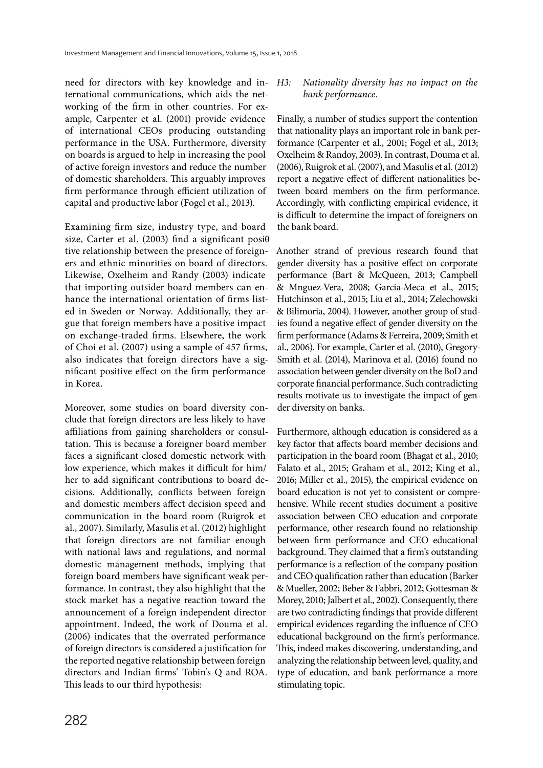need for directors with key knowledge and international communications, which aids the networking of the firm in other countries. For example, Carpenter et al. (2001) provide evidence of international CEOs producing outstanding performance in the USA. Furthermore, diversity on boards is argued to help in increasing the pool of active foreign investors and reduce the number of domestic shareholders. This arguably improves firm performance through efficient utilization of capital and productive labor (Fogel et al., 2013).

Examining firm size, industry type, and board size, Carter et al. (2003) find a significant posi $\theta$ tive relationship between the presence of foreigners and ethnic minorities on board of directors. Likewise, Oxelheim and Randy (2003) indicate that importing outsider board members can enhance the international orientation of firms listed in Sweden or Norway. Additionally, they argue that foreign members have a positive impact on exchange-traded firms. Elsewhere, the work of Choi et al. (2007) using a sample of 457 firms, also indicates that foreign directors have a significant positive effect on the firm performance in Korea.

Moreover, some studies on board diversity conclude that foreign directors are less likely to have affiliations from gaining shareholders or consultation. This is because a foreigner board member faces a significant closed domestic network with low experience, which makes it difficult for him/ her to add significant contributions to board decisions. Additionally, conflicts between foreign and domestic members affect decision speed and communication in the board room (Ruigrok et al., 2007). Similarly, Masulis et al. (2012) highlight that foreign directors are not familiar enough with national laws and regulations, and normal domestic management methods, implying that foreign board members have significant weak performance. In contrast, they also highlight that the stock market has a negative reaction toward the announcement of a foreign independent director appointment. Indeed, the work of Douma et al. (2006) indicates that the overrated performance of foreign directors is considered a justification for the reported negative relationship between foreign directors and Indian firms' Tobin's Q and ROA. This leads to our third hypothesis:

### H3: Nationality diversity has no impact on the bank performance.

Finally, a number of studies support the contention that nationality plays an important role in bank performance (Carpenter et al., 2001; Fogel et al., 2013; Oxelheim & Randoy, 2003). In contrast, Douma et al. (2006), Ruigrok et al. (2007), and Masulis et al. (2012) report a negative effect of different nationalities between board members on the firm performance. Accordingly, with conflicting empirical evidence, it is difficult to determine the impact of foreigners on the bank board.

Another strand of previous research found that gender diversity has a positive effect on corporate performance (Bart & McQueen, 2013; Campbell & Mnguez-Vera, 2008; Garcia-Meca et al., 2015; Hutchinson et al., 2015; Liu et al., 2014; Zelechowski & Bilimoria, 2004). However, another group of studies found a negative effect of gender diversity on the firm performance (Adams & Ferreira, 2009; Smith et al., 2006). For example, Carter et al. (2010), Gregory-Smith et al. (2014), Marinova et al. (2016) found no association between gender diversity on the BoD and corporate financial performance. Such contradicting results motivate us to investigate the impact of gender diversity on banks.

Furthermore, although education is considered as a key factor that affects board member decisions and participation in the board room (Bhagat et al., 2010; Falato et al., 2015; Graham et al., 2012; King et al., 2016; Miller et al., 2015), the empirical evidence on board education is not yet to consistent or comprehensive. While recent studies document a positive association between CEO education and corporate performance, other research found no relationship between firm performance and CEO educational background. They claimed that a firm's outstanding performance is a reflection of the company position and CEO qualification rather than education (Barker & Mueller, 2002; Beber & Fabbri, 2012; Gottesman & Morey, 2010; Jalbert et al., 2002). Consequently, there are two contradicting findings that provide different empirical evidences regarding the influence of CEO educational background on the firm's performance. This, indeed makes discovering, understanding, and analyzing the relationship between level, quality, and type of education, and bank performance a more stimulating topic.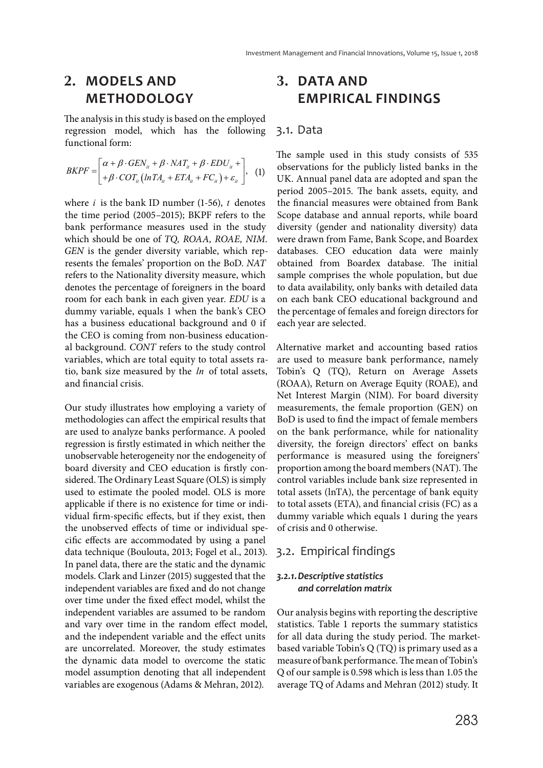# **2. MODELS AND METHODOLOGY**

The analysis in this study is based on the employed regression model, which has the following functional form:

$$
BKPF = \begin{bmatrix} \alpha + \beta \cdot GEN_{it} + \beta \cdot NAT_{it} + \beta \cdot EDU_{it} + \\ + \beta \cdot COT_{it} \left( lnTA_{it} + ETA_{it} + FC_{it} \right) + \varepsilon_{it} \end{bmatrix}, \quad (1)
$$

where *i* is the bank ID number (1-56), *t* denotes the time period (2005–2015); BKPF refers to the bank performance measures used in the study which should be one of TQ, ROAA, ROAE, NIM. GEN is the gender diversity variable, which represents the females' proportion on the BoD. NAT refers to the Nationality diversity measure, which denotes the percentage of foreigners in the board room for each bank in each given year. EDU is a dummy variable, equals 1 when the bank's CEO has a business educational background and 0 if the CEO is coming from non-business educational background. CONT refers to the study control variables, which are total equity to total assets ratio, bank size measured by the *ln* of total assets, and financial crisis.

Our study illustrates how employing a variety of methodologies can affect the empirical results that are used to analyze banks performance. A pooled regression is firstly estimated in which neither the unobservable heterogeneity nor the endogeneity of board diversity and CEO education is firstly considered. The Ordinary Least Square (OLS) is simply used to estimate the pooled model. OLS is more applicable if there is no existence for time or individual firm-specific effects, but if they exist, then the unobserved effects of time or individual specific effects are accommodated by using a panel data technique (Boulouta, 2013; Fogel et al., 2013). In panel data, there are the static and the dynamic models. Clark and Linzer (2015) suggested that the independent variables are fixed and do not change over time under the fixed effect model, whilst the independent variables are assumed to be random and vary over time in the random effect model, and the independent variable and the effect units are uncorrelated. Moreover, the study estimates the dynamic data model to overcome the static model assumption denoting that all independent variables are exogenous (Adams & Mehran, 2012).

# **3. DATA AND EMPIRICAL FINDINGS**

#### 3.1. Data

The sample used in this study consists of 535 observations for the publicly listed banks in the UK. Annual panel data are adopted and span the period 2005–2015. The bank assets, equity, and the financial measures were obtained from Bank Scope database and annual reports, while board diversity (gender and nationality diversity) data were drawn from Fame, Bank Scope, and Boardex databases. CEO education data were mainly obtained from Boardex database. The initial sample comprises the whole population, but due to data availability, only banks with detailed data on each bank CEO educational background and the percentage of females and foreign directors for each year are selected.

Alternative market and accounting based ratios are used to measure bank performance, namely Tobin's Q (TQ), Return on Average Assets (ROAA), Return on Average Equity (ROAE), and Net Interest Margin (NIM). For board diversity measurements, the female proportion (GEN) on BoD is used to find the impact of female members on the bank performance, while for nationality diversity, the foreign directors' effect on banks performance is measured using the foreigners' proportion among the board members (NAT). The control variables include bank size represented in total assets (lnTA), the percentage of bank equity to total assets (ETA), and financial crisis (FC) as a dummy variable which equals 1 during the years of crisis and 0 otherwise.

# 3.2. Empirical findings

### *3.2.1. Descriptive statistics and correlation matrix*

Our analysis begins with reporting the descriptive statistics. Table 1 reports the summary statistics for all data during the study period. The marketbased variable Tobin's Q (TQ) is primary used as a measure of bank performance. The mean of Tobin's Q of our sample is 0.598 which is less than 1.05 the average TQ of Adams and Mehran (2012) study. It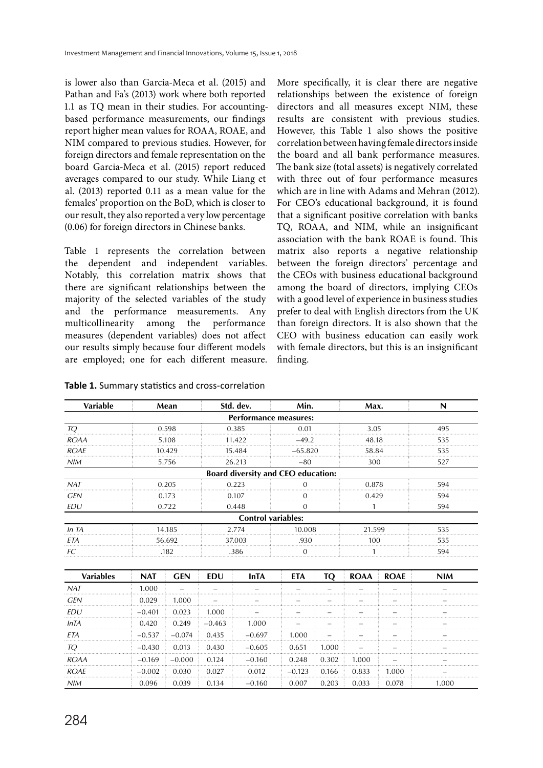is lower also than Garcia-Meca et al. (2015) and Pathan and Fa's (2013) work where both reported 1.1 as TQ mean in their studies. For accountingbased performance measurements, our findings report higher mean values for ROAA, ROAE, and NIM compared to previous studies. However, for foreign directors and female representation on the board Garcia-Meca et al. (2015) report reduced averages compared to our study. While Liang et al. (2013) reported 0.11 as a mean value for the females' proportion on the BoD, which is closer to our result, they also reported a very low percentage (0.06) for foreign directors in Chinese banks.

Table 1 represents the correlation between the dependent and independent variables. Notably, this correlation matrix shows that there are significant relationships between the majority of the selected variables of the study and the performance measurements. Any multicollinearity among the performance measures (dependent variables) does not affect our results simply because four different models are employed; one for each different measure.

More specifically, it is clear there are negative relationships between the existence of foreign directors and all measures except NIM, these results are consistent with previous studies. However, this Table 1 also shows the positive correlation between having female directors inside the board and all bank performance measures. The bank size (total assets) is negatively correlated with three out of four performance measures which are in line with Adams and Mehran (2012). For CEO's educational background, it is found that a significant positive correlation with banks TQ, ROAA, and NIM, while an insignificant association with the bank ROAE is found. This matrix also reports a negative relationship between the foreign directors' percentage and the CEOs with business educational background among the board of directors, implying CEOs with a good level of experience in business studies prefer to deal with English directors from the UK than foreign directors. It is also shown that the CEO with business education can easily work with female directors, but this is an insignificant finding.

| Table 1. Summary statistics and cross-correlation |  |
|---------------------------------------------------|--|
|                                                   |  |

| Variable                     |            | Mean       |          | Std. dev.                                 | Min.         |           | Max.        |             | N          |
|------------------------------|------------|------------|----------|-------------------------------------------|--------------|-----------|-------------|-------------|------------|
| <b>Performance measures:</b> |            |            |          |                                           |              |           |             |             |            |
| TQ                           |            | 0.598      |          | 0.385                                     | 0.01<br>3.05 |           |             | 495         |            |
| <b>ROAA</b>                  |            | 5.108      |          | 11.422                                    | $-49.2$      |           | 48.18       |             | 535        |
| <b>ROAE</b>                  |            | 10.429     |          | 15.484                                    | $-65.820$    |           | 58.84       |             | 535        |
| NIM                          |            | 5.756      |          | 26.213                                    | $-80$        |           | 300         |             | 527        |
|                              |            |            |          | <b>Board diversity and CEO education:</b> |              |           |             |             |            |
| NAT                          |            | 0.205      |          | 0.223                                     | $\Omega$     |           | 0.878       |             | 594        |
| GEN                          |            | 0.173      |          | 0.107                                     | O            |           | 0.429       |             | 594        |
| EDU                          |            | 0.722      |          | 0.448                                     | $\Omega$     |           |             |             | 594        |
|                              |            |            |          | <b>Control variables:</b>                 |              |           |             |             |            |
| In TA                        |            | 14.185     |          | 2.774                                     | 10.008       |           | 21.599      |             | 535        |
| ETA                          |            | 56.692     |          | 37.003                                    | .930         |           | 100         |             | 535        |
| FC.                          |            | .182       |          | .386                                      | $\Omega$     |           |             |             | 594        |
|                              |            |            |          |                                           |              |           |             |             |            |
| <b>Variables</b>             | <b>NAT</b> | <b>GEN</b> | EDU      | <b>InTA</b>                               | <b>ETA</b>   | <b>TQ</b> | <b>ROAA</b> | <b>ROAE</b> | <b>NIM</b> |
| NAT                          | 1.000      |            |          |                                           |              |           |             |             |            |
| <b>GEN</b>                   | 0.029      | 1.000      |          |                                           |              |           |             |             |            |
| EDU                          | $-0.401$   | 0.023      | 1.000    |                                           |              |           |             |             |            |
| InTA                         | 0.420      | 0.249      | $-0.463$ | 1.000                                     |              |           |             |             |            |
| <b>ETA</b>                   | $-0.537$   | $-0.074$   | 0.435    | $-0.697$                                  | 1.000        |           |             |             |            |
| TQ                           | $-0.430$   | 0.013      | 0.430    | $-0.605$                                  | 0.651        | 1.000     |             |             |            |
| <b>ROAA</b>                  | $-0.169$   | $-0.000$   | 0.124    | $-0.160$                                  | 0.248        | 0.302     | 1.000       |             |            |
| <b>ROAE</b>                  | $-0.002$   | 0.030      | 0.027    | 0.012                                     | $-0.123$     | 0.166     | 0.833       | 1.000       |            |
| NIM                          | 0.096      | 0.039      | 0.134    | $-0.160$                                  | 0.007        | 0.203     | 0.033       | 0.078       | 1.000      |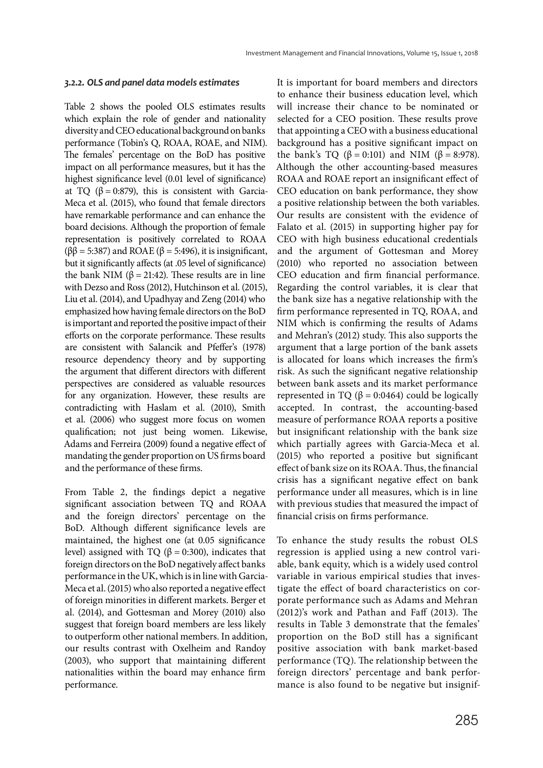#### *3.2.2. OLS and panel data models estimates*

Table 2 shows the pooled OLS estimates results which explain the role of gender and nationality diversity and CEO educational background on banks performance (Tobin's Q, ROAA, ROAE, and NIM). The females' percentage on the BoD has positive impact on all performance measures, but it has the highest significance level (0.01 level of significance) at TQ ( $β = 0.879$ ), this is consistent with Garcia-Meca et al. (2015), who found that female directors have remarkable performance and can enhance the board decisions. Although the proportion of female representation is positively correlated to ROAA ( $\beta\beta$  = 5:387) and ROAE ( $\beta$  = 5:496), it is insignificant, but it significantly affects (at .05 level of significance) the bank NIM ( $\beta$  = 21:42). These results are in line with Dezso and Ross (2012), Hutchinson et al. (2015), Liu et al. (2014), and Upadhyay and Zeng (2014) who emphasized how having female directors on the BoD is important and reported the positive impact of their efforts on the corporate performance. These results are consistent with Salancik and Pfeffer's (1978) resource dependency theory and by supporting the argument that different directors with different perspectives are considered as valuable resources for any organization. However, these results are contradicting with Haslam et al. (2010), Smith et al. (2006) who suggest more focus on women qualification; not just being women. Likewise, Adams and Ferreira (2009) found a negative effect of mandating the gender proportion on US firms board and the performance of these firms.

From Table 2, the findings depict a negative significant association between TQ and ROAA and the foreign directors' percentage on the BoD. Although different significance levels are maintained, the highest one (at 0.05 significance level) assigned with TQ (β = 0:300), indicates that foreign directors on the BoD negatively affect banks performance in the UK, which is in line with Garcia-Meca et al. (2015) who also reported a negative effect of foreign minorities in different markets. Berger et al. (2014), and Gottesman and Morey (2010) also suggest that foreign board members are less likely to outperform other national members. In addition, our results contrast with Oxelheim and Randoy (2003), who support that maintaining different nationalities within the board may enhance firm performance.

It is important for board members and directors to enhance their business education level, which will increase their chance to be nominated or selected for a CEO position. These results prove that appointing a CEO with a business educational background has a positive significant impact on the bank's TQ ( $\beta = 0:101$ ) and NIM ( $\beta = 8:978$ ). Although the other accounting-based measures ROAA and ROAE report an insignificant effect of CEO education on bank performance, they show a positive relationship between the both variables. Our results are consistent with the evidence of Falato et al. (2015) in supporting higher pay for CEO with high business educational credentials and the argument of Gottesman and Morey (2010) who reported no association between CEO education and firm financial performance. Regarding the control variables, it is clear that the bank size has a negative relationship with the firm performance represented in TQ, ROAA, and NIM which is confirming the results of Adams and Mehran's (2012) study. This also supports the argument that a large portion of the bank assets is allocated for loans which increases the firm's risk. As such the significant negative relationship between bank assets and its market performance represented in TQ ( $β = 0:0464$ ) could be logically accepted. In contrast, the accounting-based measure of performance ROAA reports a positive but insignificant relationship with the bank size which partially agrees with Garcia-Meca et al. (2015) who reported a positive but significant effect of bank size on its ROAA. Thus, the financial crisis has a significant negative effect on bank performance under all measures, which is in line with previous studies that measured the impact of financial crisis on firms performance.

To enhance the study results the robust OLS regression is applied using a new control variable, bank equity, which is a widely used control variable in various empirical studies that investigate the effect of board characteristics on corporate performance such as Adams and Mehran (2012)'s work and Pathan and Faff (2013). The results in Table 3 demonstrate that the females' proportion on the BoD still has a significant positive association with bank market-based performance (TQ). The relationship between the foreign directors' percentage and bank performance is also found to be negative but insignif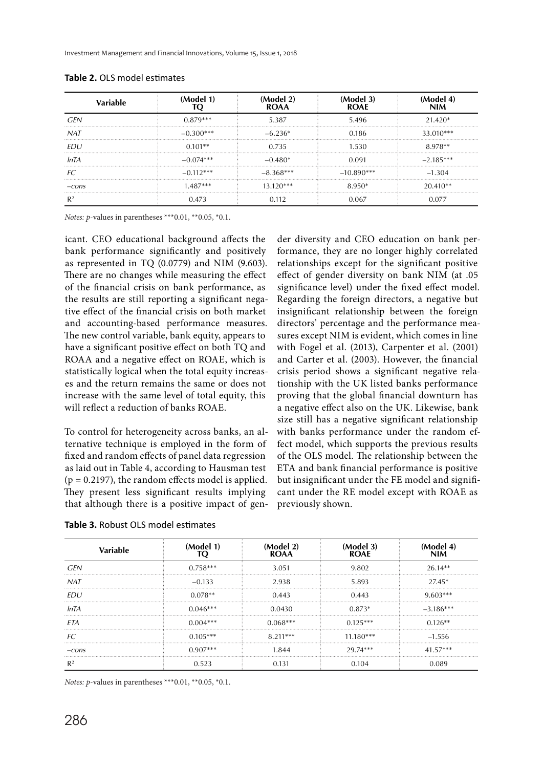Investment Management and Financial Innovations, Volume 15, Issue 1, 2018

| Variable   | (Model 1)   | Model 21<br>ROAA | (Model 3)<br><b>ROAF</b> | NIM         |
|------------|-------------|------------------|--------------------------|-------------|
| GEN        | $0.879***$  | 5.387            | 5.496                    | 21.420*     |
| <b>NAT</b> | $-0.300***$ | $-6.236*$        | 0.186                    | 33.010***   |
| FDU.       | $0.101**$   | 0.735            | 1.530                    | 8.978**     |
| InTA       | $-0.074***$ | $-0.480*$        | 0.091                    | $-2.185***$ |
|            | $-0.112***$ | $-8.368***$      | $-10.890***$             | $-1.304$    |
| $-cons$    | 1 487***    | 13 120***        | 8.950*                   | $20.410**$  |
|            | 0.473       | 0.112            | 0.067                    | 0.077       |

**Table 2.** OLS model estimates

Notes: p-values in parentheses \*\*\*0.01, \*\*0.05, \*0.1.

icant. CEO educational background affects the bank performance significantly and positively as represented in TQ (0.0779) and NIM (9.603). There are no changes while measuring the effect of the financial crisis on bank performance, as the results are still reporting a significant negative effect of the financial crisis on both market and accounting-based performance measures. The new control variable, bank equity, appears to have a significant positive effect on both TQ and ROAA and a negative effect on ROAE, which is statistically logical when the total equity increases and the return remains the same or does not increase with the same level of total equity, this will reflect a reduction of banks ROAE.

To control for heterogeneity across banks, an alternative technique is employed in the form of fixed and random effects of panel data regression as laid out in Table 4, according to Hausman test  $(p = 0.2197)$ , the random effects model is applied. They present less significant results implying that although there is a positive impact of gender diversity and CEO education on bank performance, they are no longer highly correlated relationships except for the significant positive effect of gender diversity on bank NIM (at .05 significance level) under the fixed effect model. Regarding the foreign directors, a negative but insignificant relationship between the foreign directors' percentage and the performance measures except NIM is evident, which comes in line with Fogel et al. (2013), Carpenter et al. (2001) and Carter et al. (2003). However, the financial crisis period shows a significant negative relationship with the UK listed banks performance proving that the global financial downturn has a negative effect also on the UK. Likewise, bank size still has a negative significant relationship with banks performance under the random effect model, which supports the previous results of the OLS model. The relationship between the ETA and bank financial performance is positive but insignificant under the FE model and significant under the RE model except with ROAE as previously shown.

| Variable   | (Model 1)  | (Model 2)<br>ROAA | (Model 3)<br>ROAF | NIM         |
|------------|------------|-------------------|-------------------|-------------|
| <b>GFN</b> | $0.758***$ | 3.051             | 9.802             | $26.14**$   |
| <b>NAT</b> | $-0.133$   | 2.938             | 5.893             | $27.45*$    |
| FDU.       | $0.078**$  | 0.443             | 0.443             | $9.603***$  |
| InTA       | $0.046***$ | 0.0430            | $0.873*$          | $-3.186***$ |
| ETA        | $0.004***$ | $0.068***$        | $0.125***$        | $0.126**$   |
| FC         | $0.105***$ | $8.211***$        | $11.180***$       | $-1.556$    |
| $-cons$    | $0.907***$ | 1.844             | 29.74***          | $41.57***$  |
|            |            | 0.131             |                   |             |

**Table 3.** Robust OLS model estimates

Notes: p-values in parentheses \*\*\*0.01, \*\*0.05, \*0.1.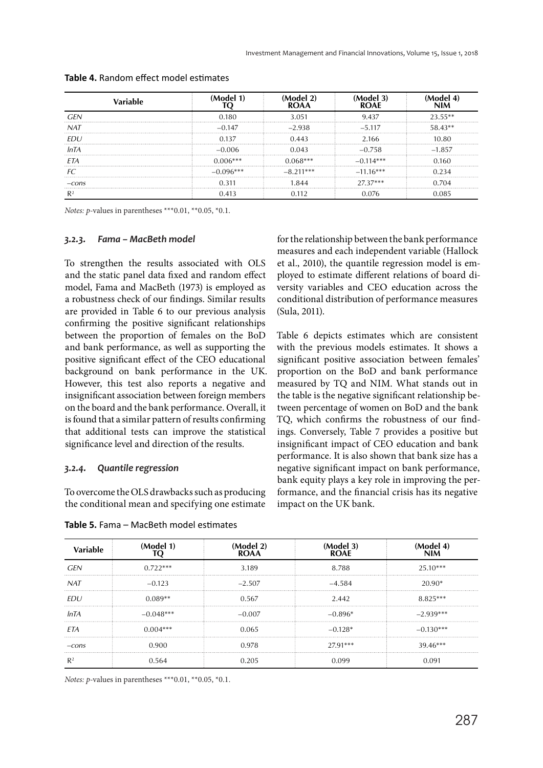|         |             | ROAA        | <b>ROAF</b> |          |
|---------|-------------|-------------|-------------|----------|
| GFI     | 0.180       | 3.051       | 9.437       | フス らら**  |
| NAT     | $-0.147$    | $-2.938$    | $-5.117$    | 58.43**  |
| EDU     | 0.137       | 0.443       | 2.166       | 10.80    |
| InTA    | -0.006      | 0.043       | $-0.758$    | $-1.857$ |
| FТA     | $0.006***$  |             | $-0.114***$ | 0.160    |
| FC      | $-0.096***$ | $-8.211***$ | $-11.16***$ |          |
| $-cons$ | በ 311       | 844         | $27.37***$  | ገ 704    |
|         | 0.413       |             |             |          |

#### **Table 4.** Random effect model estimates

Notes: p-values in parentheses \*\*\*0.01, \*\*0.05, \*0.1.

#### *3.2.3. Fama – MacBeth model*

To strengthen the results associated with OLS and the static panel data fixed and random effect model, Fama and MacBeth (1973) is employed as a robustness check of our findings. Similar results are provided in Table 6 to our previous analysis confirming the positive significant relationships between the proportion of females on the BoD and bank performance, as well as supporting the positive significant effect of the CEO educational background on bank performance in the UK. However, this test also reports a negative and insignificant association between foreign members on the board and the bank performance. Overall, it is found that a similar pattern of results confirming that additional tests can improve the statistical significance level and direction of the results.

### *3.2.4. Quantile regression*

To overcome the OLS drawbacks such as producing the conditional mean and specifying one estimate

**Table 5.** Fama – MacBeth model estimates

for the relationship between the bank performance measures and each independent variable (Hallock et al., 2010), the quantile regression model is em ployed to estimate different relations of board diversity variables and CEO education across the conditional distribution of performance measures (Sula, 2011).

Table 6 depicts estimates which are consistent with the previous models estimates. It shows a significant positive association between females' proportion on the BoD and bank performance measured by TQ and NIM. What stands out in the table is the negative significant relationship between percentage of women on BoD and the bank TQ, which confirms the robustness of our findings. Conversely, Table 7 provides a positive but insignificant impact of CEO education and bank performance. It is also shown that bank size has a negative significant impact on bank performance, bank equity plays a key role in improving the performance, and the financial crisis has its negative impact on the UK bank.

| Variable   | (Model 1)   | (Model 2)<br><b>ROAA</b> | (Model 3)<br><b>ROAF</b> | (Model 4)<br><b>NIM</b> |
|------------|-------------|--------------------------|--------------------------|-------------------------|
| GEN        | $0.722***$  | 3.189                    | 8.788                    | $25.10***$              |
| <b>NAT</b> | $-0.123$    | $-2.507$                 | $-4.584$                 | 20.90*                  |
| FDU        | $0.089**$   | 0.567                    | 2.442                    | $8.825***$              |
| InTA       | $-0.048***$ | $-0.007$                 | $-0.896*$                | $-2.939***$             |
| EΤA        | $0.004***$  | 0.065                    | $-0.128*$                | $-0.130***$             |
| $-cons$    | 0.900       | 0.978                    | 27.91***                 | $39.46***$              |
|            | በ 564       | በ 205                    | ngc                      | በ በ91                   |

Notes: p-values in parentheses \*\*\*0.01, \*\*0.05, \*0.1.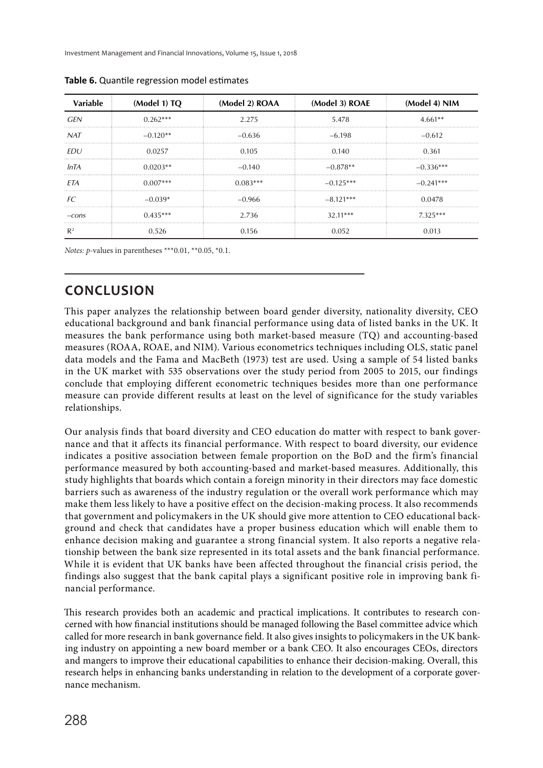| Variable   | (Model 1) TQ | (Model 2) ROAA | (Model 3) ROAE | (Model 4) NIM |
|------------|--------------|----------------|----------------|---------------|
| GEN        | $0.262***$   | 2.275          | 5.478          | $4.661**$     |
| <b>NAT</b> | $-0.120**$   | $-0.636$       | $-6.198$       | $-0.612$      |
| <i>FDU</i> | 0.0257       | 0.105          | 0.140          | 0.361         |
| InTA       | $0.0203**$   | $-0.140$       | $-0.878**$     | $-0.336***$   |
| ETA        | $0.007***$   | $0.083***$     | $-0.125***$    | $-0.241***$   |
| FC.        | $-0.039*$    | $-0.966$       | $-8.121***$    | 0.0478        |
| $-cons$    | $0.435***$   | 2.736          | $32.11***$     | $7.325***$    |
| R2         | 0.526        | 0.156          | በ በ52          | 0.013         |

**Table 6.** Quantile regression model estimates

Notes: p-values in parentheses \*\*\*0.01, \*\*0.05, \*0.1.

# **CONCLUSION**

This paper analyzes the relationship between board gender diversity, nationality diversity, CEO educational background and bank financial performance using data of listed banks in the UK. It measures the bank performance using both market-based measure (TQ) and accounting-based measures (ROAA, ROAE, and NIM). Various econometrics techniques including OLS, static panel data models and the Fama and MacBeth (1973) test are used. Using a sample of 54 listed banks in the UK market with 535 observations over the study period from 2005 to 2015, our findings conclude that employing different econometric techniques besides more than one performance measure can provide different results at least on the level of significance for the study variables relationships.

Our analysis finds that board diversity and CEO education do matter with respect to bank governance and that it affects its financial performance. With respect to board diversity, our evidence indicates a positive association between female proportion on the BoD and the firm's financial performance measured by both accounting-based and market-based measures. Additionally, this study highlights that boards which contain a foreign minority in their directors may face domestic barriers such as awareness of the industry regulation or the overall work performance which may make them less likely to have a positive effect on the decision-making process. It also recommends that government and policymakers in the UK should give more attention to CEO educational background and check that candidates have a proper business education which will enable them to enhance decision making and guarantee a strong financial system. It also reports a negative relationship between the bank size represented in its total assets and the bank financial performance. While it is evident that UK banks have been affected throughout the financial crisis period, the findings also suggest that the bank capital plays a significant positive role in improving bank financial performance.

This research provides both an academic and practical implications. It contributes to research concerned with how financial institutions should be managed following the Basel committee advice which called for more research in bank governance field. It also gives insights to policymakers in the UK banking industry on appointing a new board member or a bank CEO. It also encourages CEOs, directors and mangers to improve their educational capabilities to enhance their decision-making. Overall, this research helps in enhancing banks understanding in relation to the development of a corporate governance mechanism.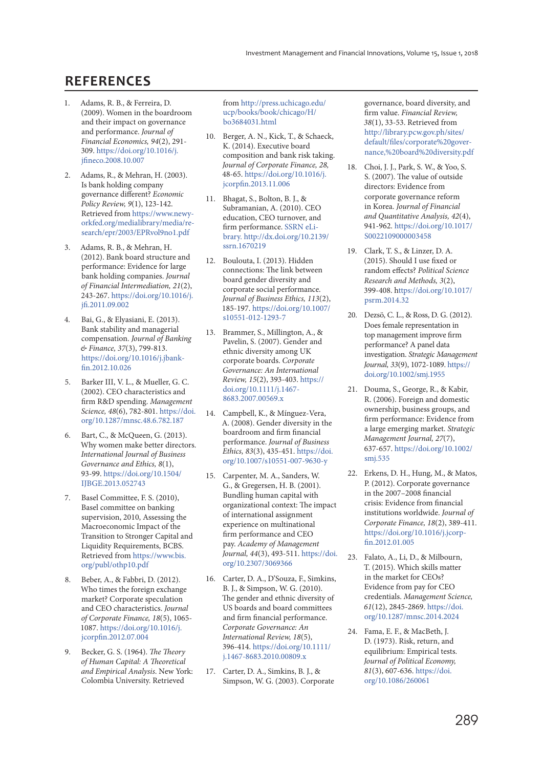# **REFERENCES**

- 1. Adams, R. B., & Ferreira, D. (2009). Women in the boardroom and their impact on governance and performance. Journal of Financial Economics, 94(2), 291- 309. https://doi.org/10.1016/j. jfineco.2008.10.007
- 2. Adams, R., & Mehran, H. (2003). Is bank holding company governance different? Economic Policy Review, 9(1), 123-142. Retrieved from https://www.newyorkfed.org/medialibrary/media/research/epr/2003/EPRvol9no1.pdf
- 3. Adams, R. B., & Mehran, H. (2012). Bank board structure and performance: Evidence for large bank holding companies. Journal of Financial Intermediation, 21(2), 243-267. https://doi.org/10.1016/j. jfi.2011.09.002
- 4. Bai, G., & Elyasiani, E. (2013). Bank stability and managerial compensation. Journal of Banking & Finance, 37(3), 799-813. https://doi.org/10.1016/j.jbankfin.2012.10.026
- 5. Barker III, V. L., & Mueller, G. C. (2002). CEO characteristics and firm R&D spending. Management Science, 48(6), 782-801. https://doi. org/10.1287/mnsc.48.6.782.187
- 6. Bart, C., & McQueen, G. (2013). Why women make better directors. International Journal of Business Governance and Ethics, 8(1), 93-99. https://doi.org/10.1504/ IJBGE.2013.052743
- 7. Basel Committee, F. S. (2010), Basel committee on banking supervision, 2010, Assessing the Macroeconomic Impact of the Transition to Stronger Capital and Liquidity Requirements, BCBS. Retrieved from https://www.bis. org/publ/othp10.pdf
- 8. Beber, A., & Fabbri, D. (2012). Who times the foreign exchange market? Corporate speculation and CEO characteristics. Journal of Corporate Finance, 18(5), 1065- 1087. https://doi.org/10.1016/j. jcorpfin.2012.07.004
- 9. Becker, G. S. (1964). The Theory of Human Capital: A Theoretical and Empirical Analysis. New York: Colombia University. Retrieved

from http://press.uchicago.edu/ ucp/books/book/chicago/H/ bo3684031.html

- 10. Berger, A. N., Kick, T., & Schaeck, K. (2014). Executive board composition and bank risk taking. Journal of Corporate Finance, 28, 48-65. https://doi.org/10.1016/j. jcorpfin.2013.11.006
- 11. Bhagat, S., Bolton, B. J., & Subramanian, A. (2010). CEO education, CEO turnover, and firm performance. SSRN eLibrary. http://dx.doi.org/10.2139/ ssrn.1670219
- 12. Boulouta, I. (2013). Hidden connections: The link between board gender diversity and corporate social performance. Journal of Business Ethics, 113(2), 185-197. https://doi.org/10.1007/ s10551-012-1293-7
- 13. Brammer, S., Millington, A., & Pavelin, S. (2007). Gender and ethnic diversity among UK corporate boards. Corporate Governance: An International Review, 15(2), 393-403. https:// doi.org/10.1111/j.1467- 8683.2007.00569.x
- 14. Campbell, K., & Mínguez-Vera, A. (2008). Gender diversity in the boardroom and firm financial performance. Journal of Business Ethics, 83(3), 435-451. https://doi. org/10.1007/s10551-007-9630-y
- 15. Carpenter, M. A., Sanders, W. G., & Gregersen, H. B. (2001). Bundling human capital with organizational context: The impact of international assignment experience on multinational firm performance and CEO pay. Academy of Management Journal, 44(3), 493-511. https://doi. org/10.2307/3069366
- 16. Carter, D. A., D'Souza, F., Simkins, B. J., & Simpson, W. G. (2010). The gender and ethnic diversity of US boards and board committees and firm financial performance. Corporate Governance: An International Review, 18(5), 396-414. https://doi.org/10.1111/ j.1467-8683.2010.00809.x
- 17. Carter, D. A., Simkins, B. J., & Simpson, W. G. (2003). Corporate

governance, board diversity, and firm value. Financial Review, 38(1), 33-53. Retrieved from http://library.pcw.gov.ph/sites/ default/files/corporate%20governance,%20board%20diversity.pdf

- 18. Choi, J. J., Park, S. W., & Yoo, S. S. (2007). The value of outside directors: Evidence from corporate governance reform in Korea. Journal of Financial and Quantitative Analysis, 42(4), 941-962. https://doi.org/10.1017/ S0022109000003458
- 19. Clark, T. S., & Linzer, D. A. (2015). Should I use fixed or random effects? Political Science Research and Methods, 3(2), 399-408. https://doi.org/10.1017/ psrm.2014.32
- 20. Dezsö, C. L., & Ross, D. G. (2012). Does female representation in top management improve firm performance? A panel data investigation. Strategic Management Journal, 33(9), 1072-1089. https:// doi.org/10.1002/smj.1955
- 21. Douma, S., George, R., & Kabir, R. (2006). Foreign and domestic ownership, business groups, and firm performance: Evidence from a large emerging market. Strategic Management Journal, 27(7), 637-657. https://doi.org/10.1002/ smj.535
- 22. Erkens, D. H., Hung, M., & Matos, P. (2012). Corporate governance in the 2007–2008 financial crisis: Evidence from financial institutions worldwide. Journal of Corporate Finance, 18(2), 389-411. https://doi.org/10.1016/j.jcorpfin.2012.01.005
- 23. Falato, A., Li, D., & Milbourn, T. (2015). Which skills matter in the market for CEOs? Evidence from pay for CEO credentials. Management Science, 61(12), 2845-2869. https://doi. org/10.1287/mnsc.2014.2024
- 24. Fama, E. F., & MacBeth, J. D. (1973). Risk, return, and equilibrium: Empirical tests. Journal of Political Economy, 81(3), 607-636. https://doi. org/10.1086/260061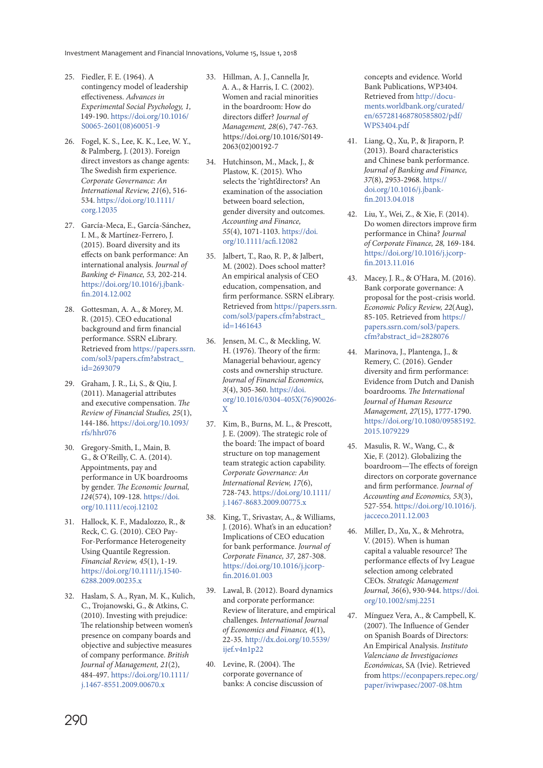- 25. Fiedler, F. E. (1964). A contingency model of leadership effectiveness. Advances in Experimental Social Psychology, 1, 149-190. https://doi.org/10.1016/ S0065-2601(08)60051-9
- 26. Fogel, K. S., Lee, K. K., Lee, W. Y., & Palmberg, J. (2013). Foreign direct investors as change agents: The Swedish firm experience. Corporate Governance: An International Review, 21(6), 516- 534. https://doi.org/10.1111/ corg.12035
- 27. García-Meca, E., García-Sánchez, I. M., & Martínez-Ferrero, J. (2015). Board diversity and its effects on bank performance: An international analysis. Journal of Banking & Finance, 53, 202-214. https://doi.org/10.1016/j.jbankfin.2014.12.002
- 28. Gottesman, A. A., & Morey, M. R. (2015). CEO educational background and firm financial performance. SSRN eLibrary. Retrieved from https://papers.ssrn. com/sol3/papers.cfm?abstract\_ id=2693079
- 29. Graham, J. R., Li, S., & Qiu, J. (2011). Managerial attributes and executive compensation. The Review of Financial Studies, 25(1), 144-186. https://doi.org/10.1093/ rfs/hhr076
- 30. Gregory‐Smith, I., Main, B. G., & O'Reilly, C. A. (2014). Appointments, pay and performance in UK boardrooms by gender. The Economic Journal, 124(574), 109-128. https://doi. org/10.1111/ecoj.12102
- 31. Hallock, K. F., Madalozzo, R., & Reck, C. G. (2010). CEO Pay‐ For‐Performance Heterogeneity Using Quantile Regression. Financial Review, 45(1), 1-19. https://doi.org/10.1111/j.1540- 6288.2009.00235.x
- 32. Haslam, S. A., Ryan, M. K., Kulich, C., Trojanowski, G., & Atkins, C. (2010). Investing with prejudice: The relationship between women's presence on company boards and objective and subjective measures of company performance. British Journal of Management, 21(2), 484-497. https://doi.org/10.1111/ j.1467-8551.2009.00670.x
- 33. Hillman, A. J., Cannella Jr, A. A., & Harris, I. C. (2002). Women and racial minorities in the boardroom: How do directors differ? Journal of Management, 28(6), 747-763. https://doi.org/10.1016/S0149- 2063(02)00192-7
- 34. Hutchinson, M., Mack, J., & Plastow, K. (2015). Who selects the 'right'directors? An examination of the association between board selection, gender diversity and outcomes. Accounting and Finance, 55(4), 1071-1103. https://doi. org/10.1111/acfi.12082
- 35. Jalbert, T., Rao, R. P., & Jalbert, M. (2002). Does school matter? An empirical analysis of CEO education, compensation, and firm performance. SSRN eLibrary. Retrieved from https://papers.ssrn. com/sol3/papers.cfm?abstract\_  $id = 1461643$
- 36. Jensen, M. C., & Meckling, W. H. (1976). Theory of the firm: Managerial behaviour, agency costs and ownership structure. Journal of Financial Economics, 3(4), 305-360. https://doi. org/10.1016/0304-405X(76)90026- X
- 37. Kim, B., Burns, M. L., & Prescott, J. E. (2009). The strategic role of the board: The impact of board structure on top management team strategic action capability. Corporate Governance: An International Review, 17(6), 728-743. https://doi.org/10.1111/ j.1467-8683.2009.00775.x
- 38. King, T., Srivastav, A., & Williams, J. (2016). What's in an education? Implications of CEO education for bank performance. Journal of Corporate Finance, 37, 287-308. https://doi.org/10.1016/j.jcorpfin.2016.01.003
- 39. Lawal, B. (2012). Board dynamics and corporate performance: Review of literature, and empirical challenges. International Journal of Economics and Finance, 4(1), 22-35. http://dx.doi.org/10.5539/ ijef.v4n1p22
- 40. Levine, R. (2004). The corporate governance of banks: A concise discussion of

concepts and evidence. World Bank Publications, WP3404. Retrieved from http://documents.worldbank.org/curated/ en/657281468780585802/pdf/ WPS3404.pdf

- 41. Liang, Q., Xu, P., & Jiraporn, P. (2013). Board characteristics and Chinese bank performance. Journal of Banking and Finance, 37(8), 2953-2968. https:// doi.org/10.1016/j.jbankfin.2013.04.018
- 42. Liu, Y., Wei, Z., & Xie, F. (2014). Do women directors improve firm performance in China? Journal of Corporate Finance, 28, 169-184. https://doi.org/10.1016/j.jcorpfin.2013.11.016
- 43. Macey, J. R., & O'Hara, M. (2016). Bank corporate governance: A proposal for the post-crisis world. Economic Policy Review, 22(Aug), 85-105. Retrieved from https:// papers.ssrn.com/sol3/papers. cfm?abstract\_id=2828076
- 44. Marinova, J., Plantenga, J., & Remery, C. (2016). Gender diversity and firm performance: Evidence from Dutch and Danish boardrooms. The International Journal of Human Resource Management, 27(15), 1777-1790. https://doi.org/10.1080/09585192. 2015.1079229
- 45. Masulis, R. W., Wang, C., & Xie, F. (2012). Globalizing the boardroom—The effects of foreign directors on corporate governance and firm performance. Journal of Accounting and Economics, 53(3), 527-554. https://doi.org/10.1016/j. jacceco.2011.12.003
- 46. Miller, D., Xu, X., & Mehrotra, V. (2015). When is human capital a valuable resource? The performance effects of Ivy League selection among celebrated CEOs. Strategic Management Journal, 36(6), 930-944. https://doi. org/10.1002/smj.2251
- 47. Mínguez Vera, A., & Campbell, K. (2007). The Influence of Gender on Spanish Boards of Directors: An Empirical Analysis. Instituto Valenciano de Investigaciones Económicas, SA (Ivie). Retrieved from https://econpapers.repec.org/ paper/iviwpasec/2007-08.htm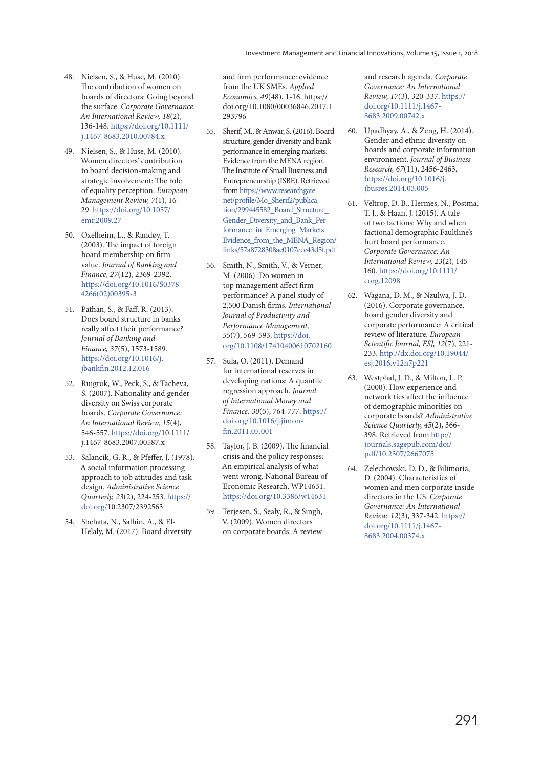- 48. Nielsen, S., & Huse, M. (2010). The contribution of women on boards of directors: Going beyond the surface. Corporate Governance: An International Review, 18(2), 136-148. https://doi.org/10.1111/ j.1467-8683.2010.00784.x
- 49. Nielsen, S., & Huse, M. (2010). Women directors' contribution to board decision‐making and strategic involvement: The role of equality perception. European Management Review, 7(1), 16- 29. https://doi.org/10.1057/ emr.2009.27
- 50. Oxelheim, L., & Randøy, T. (2003). The impact of foreign board membership on firm value. Journal of Banking and Finance, 27(12), 2369-2392. https://doi.org/10.1016/S0378- 4266(02)00395-3
- 51. Pathan, S., & Faff, R. (2013). Does board structure in banks really affect their performance? Journal of Banking and Finance, 37(5), 1573-1589. https://doi.org/10.1016/j. jbankfin.2012.12.016
- 52. Ruigrok, W., Peck, S., & Tacheva, S. (2007). Nationality and gender diversity on Swiss corporate boards. Corporate Governance: An International Review, 15(4), 546-557. https://doi.org/10.1111/ j.1467-8683.2007.00587.x
- 53. Salancik, G. R., & Pfeffer, J. (1978). A social information processing approach to job attitudes and task design. Administrative Science Quarterly, 23(2), 224-253. https:// doi.org/10.2307/2392563
- 54. Shehata, N., Salhin, A., & El-Helaly, M. (2017). Board diversity

and firm performance: evidence from the UK SMEs. Applied Economics, 49(48), 1-16. https:// doi.org/10.1080/00036846.2017.1 293796

- 55. Sherif, M., & Anwar, S. (2016). Board structure, gender diversity and bank performance in emerging markets: Evidence from the MENA region'. The Institute of Small Business and Entrepreneurship (ISBE). Retrieved from https://www.researchgate. net/profile/Mo\_Sherif2/publication/299445582\_Board\_Structure Gender\_Diversity\_and\_Bank\_Performance\_in\_Emerging\_Markets\_ Evidence\_from\_the\_MENA\_Region/ links/57a8728308ae0107eee43d5f.pdf
- 56. Smith, N., Smith, V., & Verner, M. (2006). Do women in top management affect firm performance? A panel study of 2,500 Danish firms. International Journal of Productivity and Performance Management, 55(7), 569-593. https://doi. org/10.1108/17410400610702160
- 57. Sula, O. (2011). Demand for international reserves in developing nations: A quantile regression approach. Journal of International Money and Finance, 30(5), 764-777. https:// doi.org/10.1016/j.jimonfin.2011.05.001
- 58. Taylor, J. B. (2009). The financial crisis and the policy responses: An empirical analysis of what went wrong. National Bureau of Economic Research, WP14631. https://doi.org/10.3386/w14631
- 59. Terjesen, S., Sealy, R., & Singh, V. (2009). Women directors on corporate boards: A review

and research agenda. Corporate Governance: An International Review, 17(3), 320-337. https:// doi.org/10.1111/j.1467- 8683.2009.00742.x

- 60. Upadhyay, A., & Zeng, H. (2014). Gender and ethnic diversity on boards and corporate information environment. Journal of Business Research, 67(11), 2456-2463. https://doi.org/10.1016/j. jbusres.2014.03.005
- 61. Veltrop, D. B., Hermes, N., Postma, T. J., & Haan, J. (2015). A tale of two factions: Why and when factional demographic Faultline's hurt board performance. Corporate Governance: An International Review, 23(2), 145- 160. https://doi.org/10.1111/ corg.12098
- 62. Wagana, D. M., & Nzulwa, J. D. (2016). Corporate governance, board gender diversity and corporate performance: A critical review of literature. European Scientific Journal, ESJ, 12(7), 221- 233. http://dx.doi.org/10.19044/ esj.2016.v12n7p221
- 63. Westphal, J. D., & Milton, L. P. (2000). How experience and network ties affect the influence of demographic minorities on corporate boards? Administrative Science Quarterly, 45(2), 366-398. Retrieved from http:// journals.sagepub.com/doi/ pdf/10.2307/2667075
- 64. Zelechowski, D. D., & Bilimoria, D. (2004). Characteristics of women and men corporate inside directors in the US. Corporate Governance: An International Review, 12(3), 337-342. https:// doi.org/10.1111/j.1467- 8683.2004.00374.x